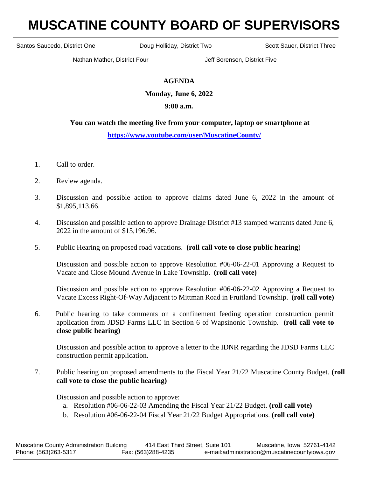# **MUSCATINE COUNTY BOARD OF SUPERVISORS**

Santos Saucedo, District One **Doug Holliday, District Two** Scott Sauer, District Three

Nathan Mather, District Four **Jeff Sorensen, District Five** 

## **AGENDA**

**Monday, June 6, 2022**

### **9:00 a.m.**

#### **You can watch the meeting live from your computer, laptop or smartphone at**

### **<https://www.youtube.com/user/MuscatineCounty/>**

- 1. Call to order.
- 2. Review agenda.
- 3. Discussion and possible action to approve claims dated June 6, 2022 in the amount of \$1,895,113.66.
- 4. Discussion and possible action to approve Drainage District #13 stamped warrants dated June 6, 2022 in the amount of \$15,196.96.
- 5. Public Hearing on proposed road vacations. **(roll call vote to close public hearing**)

Discussion and possible action to approve Resolution #06-06-22-01 Approving a Request to Vacate and Close Mound Avenue in Lake Township. **(roll call vote)**

Discussion and possible action to approve Resolution #06-06-22-02 Approving a Request to Vacate Excess Right-Of-Way Adjacent to Mittman Road in Fruitland Township. **(roll call vote)**

6. Public hearing to take comments on a confinement feeding operation construction permit application from JDSD Farms LLC in Section 6 of Wapsinonic Township. **(roll call vote to close public hearing)**

 Discussion and possible action to approve a letter to the IDNR regarding the JDSD Farms LLC construction permit application.

7. Public hearing on proposed amendments to the Fiscal Year 21/22 Muscatine County Budget. **(roll call vote to close the public hearing)**

Discussion and possible action to approve:

- a. Resolution #06-06-22-03 Amending the Fiscal Year 21/22 Budget. **(roll call vote)**
- b. Resolution #06-06-22-04 Fiscal Year 21/22 Budget Appropriations. **(roll call vote)**